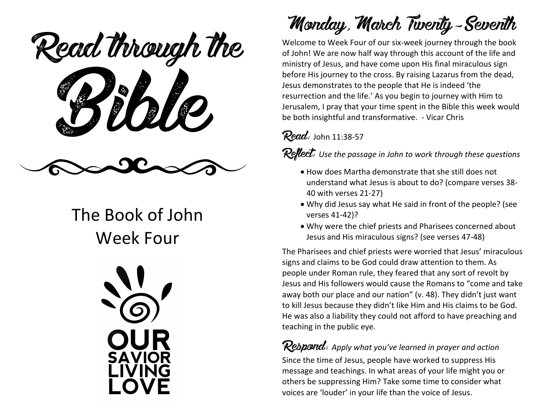Read through the



## The Book of John Week Four



# Monday, March Twenty-Seventh

Welcome to Week Four of our six-week journey through the book of John! We are now half way through this account of the life and ministry of Jesus, and have come upon His final miraculous sign before His journey to the cross. By raising Lazarus from the dead, Jesus demonstrates to the people that He is indeed 'the resurrection and the life.' As you begin to journey with Him to Jerusalem, I pray that your time spent in the Bible this week would be both insightful and transformative. - Vicar Chris

#### $Read:$  John 11:38-57

Reflect: Use the passage in John to work through these questions

- How does Martha demonstrate that she still does not understand what Jesus is about to do? (compare verses 38-40 with verses 21-27)
- Why did Jesus say what He said in front of the people? (see verses 41-42)?
- Why were the chief priests and Pharisees concerned about Jesus and His miraculous signs? (see verses 47-48)

The Pharisees and chief priests were worried that Jesus' miraculous signs and claims to be God could draw attention to them. As people under Roman rule, they feared that any sort of revolt by Jesus and His followers would cause the Romans to "come and take away both our place and our nation" (v. 48). They didn't just want to kill Jesus because they didn't like Him and His claims to be God. He was also a liability they could not afford to have preaching and teaching in the public eye.

### Rebpond: Apply what you've learned in prayer and action

Since the time of Jesus, people have worked to suppress His message and teachings. In what areas of your life might you or others be suppressing Him? Take some time to consider what voices are 'louder' in your life than the voice of Jesus.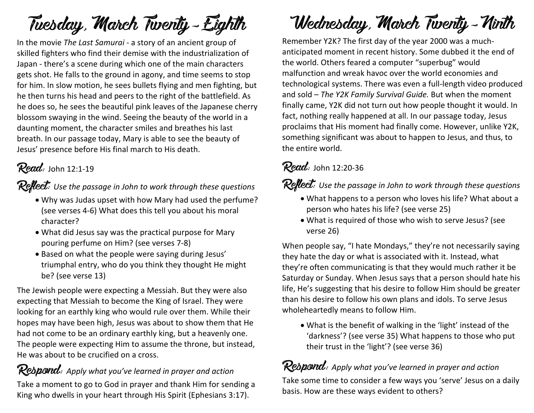Tuesday, March Twenty-Eighth

In the movie *The Last Samurai* - a story of an ancient group of skilled fighters who find their demise with the industrialization of Japan - there's a scene during which one of the main characters gets shot. He falls to the ground in agony, and time seems to stop for him. In slow motion, he sees bullets flying and men fighting, but he then turns his head and peers to the right of the battlefield. As he does so, he sees the beautiful pink leaves of the Japanese cherry blossom swaying in the wind. Seeing the beauty of the world in a daunting moment, the character smiles and breathes his last breath. In our passage today, Mary is able to see the beauty of Jesus' presence before His final march to His death.

### $Read:$  John 12:1-19

**Reflect:** Use the passage in John to work through these questions

- Why was Judas upset with how Mary had used the perfume? (see verses 4-6) What does this tell you about his moral character?
- What did Jesus say was the practical purpose for Mary pouring perfume on Him? (see verses 7-8)
- Based on what the people were saying during Jesus' triumphal entry, who do you think they thought He might be? (see verse 13)

The Jewish people were expecting a Messiah. But they were also expecting that Messiah to become the King of Israel. They were looking for an earthly king who would rule over them. While their hopes may have been high, Jesus was about to show them that He had not come to be an ordinary earthly king, but a heavenly one. The people were expecting Him to assume the throne, but instead, He was about to be crucified on a cross.

### Rebpond: Apply what you've learned in prayer and action

Take a moment to go to God in prayer and thank Him for sending a King who dwells in your heart through His Spirit (Ephesians 3:17).

## Wednesday, March Twenty-Ninth

Remember Y2K? The first day of the year 2000 was a muchanticipated moment in recent history. Some dubbed it the end of the world. Others feared a computer "superbug" would malfunction and wreak havoc over the world economies and technological systems. There was even a full-length video produced and sold – The Y2K Family Survival Guide. But when the moment finally came, Y2K did not turn out how people thought it would. In fact, nothing really happened at all. In our passage today, Jesus proclaims that His moment had finally come. However, unlike Y2K, something significant was about to happen to Jesus, and thus, to the entire world.

#### Read: John 12:20-36

Reflect: Use the passage in John to work through these questions

- What happens to a person who loves his life? What about a person who hates his life? (see verse 25)
- What is required of those who wish to serve Jesus? (see verse 26)

When people say, "I hate Mondays," they're not necessarily saying they hate the day or what is associated with it. Instead, what they're often communicating is that they would much rather it be Saturday or Sunday. When Jesus says that a person should hate his life, He's suggesting that his desire to follow Him should be greater than his desire to follow his own plans and idols. To serve Jesus wholeheartedly means to follow Him.

• What is the benefit of walking in the 'light' instead of the 'darkness'? (see verse 35) What happens to those who put their trust in the 'light'? (see verse 36)

### Rebpond: Apply what you've learned in prayer and action

Take some time to consider a few ways you 'serve' Jesus on a daily basis. How are these ways evident to others?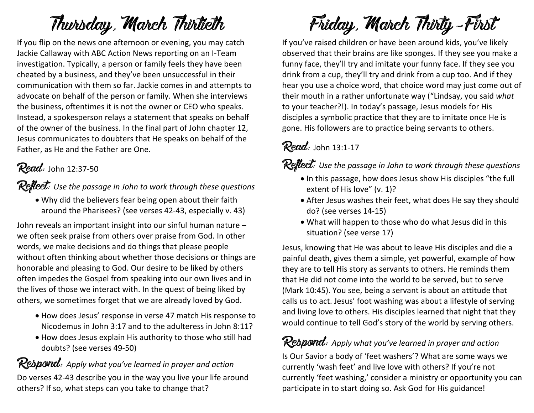# Thursday, March Thirtieth

If you flip on the news one afternoon or evening, you may catch Jackie Callaway with ABC Action News reporting on an I-Team investigation. Typically, a person or family feels they have been cheated by a business, and they've been unsuccessful in their communication with them so far. Jackie comes in and attempts to advocate on behalf of the person or family. When she interviews the business, oftentimes it is not the owner or CEO who speaks. Instead, a spokesperson relays a statement that speaks on behalf of the owner of the business. In the final part of John chapter 12, Jesus communicates to doubters that He speaks on behalf of the Father, as He and the Father are One.

## $Read:$  John 12:37-50

**Reflect:** Use the passage in John to work through these questions

• Why did the believers fear being open about their faith around the Pharisees? (see verses 42-43, especially v. 43)

John reveals an important insight into our sinful human nature  $$ we often seek praise from others over praise from God. In other words, we make decisions and do things that please people without often thinking about whether those decisions or things are honorable and pleasing to God. Our desire to be liked by others often impedes the Gospel from speaking into our own lives and in the lives of those we interact with. In the quest of being liked by others, we sometimes forget that we are already loved by God.

- How does Jesus' response in verse 47 match His response to Nicodemus in John 3:17 and to the adulteress in John  $8:11$ ?
- How does Jesus explain His authority to those who still had doubts? (see verses 49-50)

### **Respond:** Apply what you've learned in prayer and action

Do verses 42-43 describe you in the way you live your life around others? If so, what steps can you take to change that?

Friday, March Thirty-First

If you've raised children or have been around kids, you've likely observed that their brains are like sponges. If they see you make a funny face, they'll try and imitate your funny face. If they see you drink from a cup, they'll try and drink from a cup too. And if they hear you use a choice word, that choice word may just come out of their mouth in a rather unfortunate way ("Lindsay, you said what to your teacher?!). In today's passage, Jesus models for His disciples a symbolic practice that they are to imitate once He is gone. His followers are to practice being servants to others.

### $Read:$  John 13:1-17

Reflect: Use the passage in John to work through these questions

- In this passage, how does Jesus show His disciples "the full extent of His love" (v. 1)?
- After Jesus washes their feet, what does He say they should do? (see verses 14-15)
- What will happen to those who do what Jesus did in this situation? (see verse 17)

Jesus, knowing that He was about to leave His disciples and die a painful death, gives them a simple, yet powerful, example of how they are to tell His story as servants to others. He reminds them that He did not come into the world to be served, but to serve (Mark 10:45). You see, being a servant is about an attitude that calls us to act. Jesus' foot washing was about a lifestyle of serving and living love to others. His disciples learned that night that they would continue to tell God's story of the world by serving others.

Rebpond: Apply what you've learned in prayer and action Is Our Savior a body of 'feet washers'? What are some ways we currently 'wash feet' and live love with others? If you're not currently 'feet washing,' consider a ministry or opportunity you can participate in to start doing so. Ask God for His guidance!